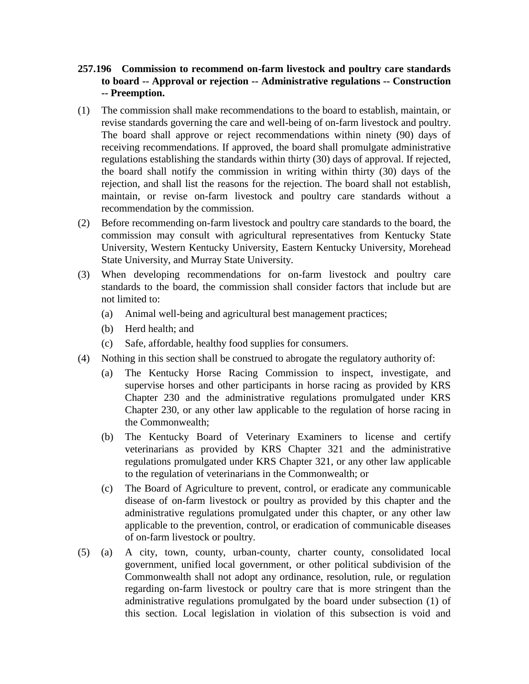- **257.196 Commission to recommend on-farm livestock and poultry care standards to board -- Approval or rejection -- Administrative regulations -- Construction -- Preemption.**
- (1) The commission shall make recommendations to the board to establish, maintain, or revise standards governing the care and well-being of on-farm livestock and poultry. The board shall approve or reject recommendations within ninety (90) days of receiving recommendations. If approved, the board shall promulgate administrative regulations establishing the standards within thirty (30) days of approval. If rejected, the board shall notify the commission in writing within thirty (30) days of the rejection, and shall list the reasons for the rejection. The board shall not establish, maintain, or revise on-farm livestock and poultry care standards without a recommendation by the commission.
- (2) Before recommending on-farm livestock and poultry care standards to the board, the commission may consult with agricultural representatives from Kentucky State University, Western Kentucky University, Eastern Kentucky University, Morehead State University, and Murray State University.
- (3) When developing recommendations for on-farm livestock and poultry care standards to the board, the commission shall consider factors that include but are not limited to:
	- (a) Animal well-being and agricultural best management practices;
	- (b) Herd health; and
	- (c) Safe, affordable, healthy food supplies for consumers.
- (4) Nothing in this section shall be construed to abrogate the regulatory authority of:
	- (a) The Kentucky Horse Racing Commission to inspect, investigate, and supervise horses and other participants in horse racing as provided by KRS Chapter 230 and the administrative regulations promulgated under KRS Chapter 230, or any other law applicable to the regulation of horse racing in the Commonwealth;
	- (b) The Kentucky Board of Veterinary Examiners to license and certify veterinarians as provided by KRS Chapter 321 and the administrative regulations promulgated under KRS Chapter 321, or any other law applicable to the regulation of veterinarians in the Commonwealth; or
	- (c) The Board of Agriculture to prevent, control, or eradicate any communicable disease of on-farm livestock or poultry as provided by this chapter and the administrative regulations promulgated under this chapter, or any other law applicable to the prevention, control, or eradication of communicable diseases of on-farm livestock or poultry.
- (5) (a) A city, town, county, urban-county, charter county, consolidated local government, unified local government, or other political subdivision of the Commonwealth shall not adopt any ordinance, resolution, rule, or regulation regarding on-farm livestock or poultry care that is more stringent than the administrative regulations promulgated by the board under subsection (1) of this section. Local legislation in violation of this subsection is void and